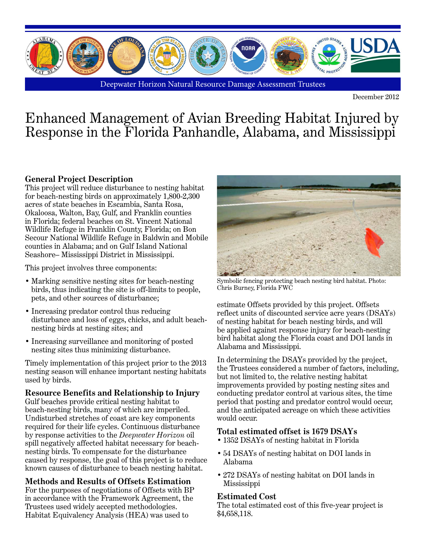

Deepwater Horizon Natural Resource Damage Assessment Trustees

December 2012

# Enhanced Management of Avian Breeding Habitat Injured by Response in the Florida Panhandle, Alabama, and Mississippi

## **General Project Description**

This project will reduce disturbance to nesting habitat for beach-nesting birds on approximately 1,800-2,300 acres of state beaches in Escambia, Santa Rosa, Okaloosa, Walton, Bay, Gulf, and Franklin counties in Florida; federal beaches on St. Vincent National Wildlife Refuge in Franklin County, Florida; on Bon Secour National Wildlife Refuge in Baldwin and Mobile counties in Alabama; and on Gulf Island National Seashore– Mississippi District in Mississippi.

This project involves three components:

- Marking sensitive nesting sites for beach-nesting birds, thus indicating the site is off-limits to people, pets, and other sources of disturbance;
- Increasing predator control thus reducing disturbance and loss of eggs, chicks, and adult beachnesting birds at nesting sites; and
- Increasing surveillance and monitoring of posted nesting sites thus minimizing disturbance.

Timely implementation of this project prior to the 2013 nesting season will enhance important nesting habitats used by birds.

#### **Resource Benefits and Relationship to Injury**

Gulf beaches provide critical nesting habitat to beach-nesting birds, many of which are imperiled. Undisturbed stretches of coast are key components required for their life cycles. Continuous disturbance by response activities to the *Deepwater Horizon* oil spill negatively affected habitat necessary for beachnesting birds. To compensate for the disturbance caused by response, the goal of this project is to reduce known causes of disturbance to beach nesting habitat.

## **Methods and Results of Offsets Estimation**

For the purposes of negotiations of Offsets with BP in accordance with the Framework Agreement, the Trustees used widely accepted methodologies. Habitat Equivalency Analysis (HEA) was used to



Symbolic fencing protecting beach nesting bird habitat. Photo: Chris Burney, Florida FWC

estimate Offsets provided by this project. Offsets reflect units of discounted service acre years (DSAYs) of nesting habitat for beach nesting birds, and will be applied against response injury for beach-nesting bird habitat along the Florida coast and DOI lands in Alabama and Mississippi.

In determining the DSAYs provided by the project, the Trustees considered a number of factors, including, but not limited to, the relative nesting habitat improvements provided by posting nesting sites and conducting predator control at various sites, the time period that posting and predator control would occur, and the anticipated acreage on which these activities would occur.

## **Total estimated offset is 1679 DSAYs**

- 1352 DSAYs of nesting habitat in Florida
- 54 DSAYs of nesting habitat on DOI lands in Alabama
- 272 DSAYs of nesting habitat on DOI lands in Mississippi

#### **Estimated Cost**

The total estimated cost of this five-year project is \$4,658,118.